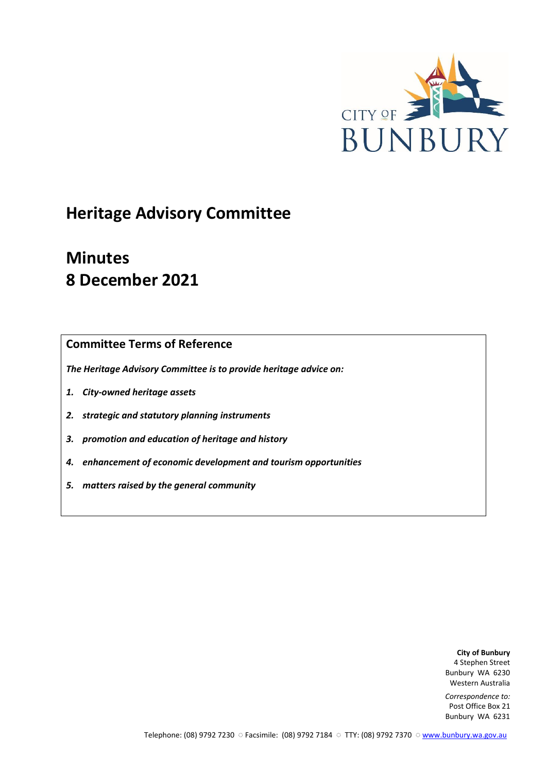

# **Heritage Advisory Committee**

# **Minutes 8 December 2021**

# **Committee Terms of Reference**

*The Heritage Advisory Committee is to provide heritage advice on:*

- *1. City-owned heritage assets*
- *2. strategic and statutory planning instruments*
- *3. promotion and education of heritage and history*
- *4. enhancement of economic development and tourism opportunities*
- *5. matters raised by the general community*

**City of Bunbury** 4 Stephen Street Bunbury WA 6230 Western Australia

*Correspondence to:* Post Office Box 21 Bunbury WA 6231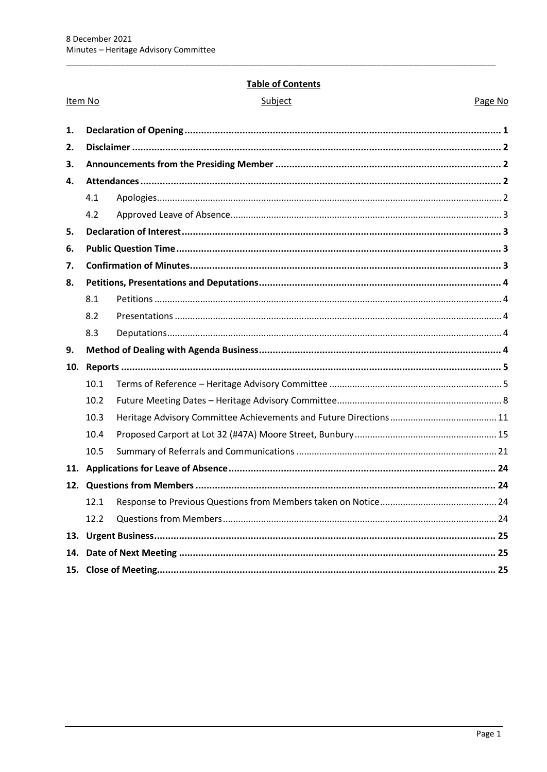Item No

#### **Table of Contents**

| Subiect |
|---------|
|---------|

Page No

| 1.  |      |  |  |
|-----|------|--|--|
| 2.  |      |  |  |
| 3.  |      |  |  |
| 4.  |      |  |  |
|     | 4.1  |  |  |
|     | 4.2  |  |  |
| 5.  |      |  |  |
| 6.  |      |  |  |
| 7.  |      |  |  |
| 8.  |      |  |  |
|     | 8.1  |  |  |
|     | 8.2  |  |  |
|     | 8.3  |  |  |
| 9.  |      |  |  |
| 10. |      |  |  |
|     | 10.1 |  |  |
|     | 10.2 |  |  |
|     | 10.3 |  |  |
|     | 10.4 |  |  |
|     | 10.5 |  |  |
|     |      |  |  |
|     |      |  |  |
|     | 12.1 |  |  |
|     | 12.2 |  |  |
| 13. |      |  |  |
| 14. |      |  |  |
|     |      |  |  |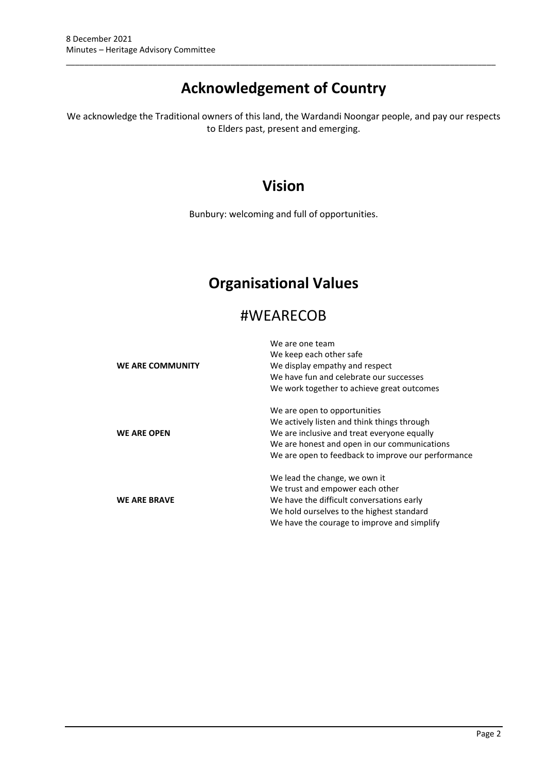# **Acknowledgement of Country**

\_\_\_\_\_\_\_\_\_\_\_\_\_\_\_\_\_\_\_\_\_\_\_\_\_\_\_\_\_\_\_\_\_\_\_\_\_\_\_\_\_\_\_\_\_\_\_\_\_\_\_\_\_\_\_\_\_\_\_\_\_\_\_\_\_\_\_\_\_\_\_\_\_\_\_\_\_\_\_\_\_\_\_\_\_\_\_\_\_\_\_\_\_\_

We acknowledge the Traditional owners of this land, the Wardandi Noongar people, and pay our respects to Elders past, present and emerging.

# **Vision**

Bunbury: welcoming and full of opportunities.

# **Organisational Values**

# #WEARECOB

|                         | We are one team                                    |  |  |
|-------------------------|----------------------------------------------------|--|--|
|                         | We keep each other safe                            |  |  |
| <b>WE ARE COMMUNITY</b> | We display empathy and respect                     |  |  |
|                         | We have fun and celebrate our successes            |  |  |
|                         | We work together to achieve great outcomes         |  |  |
|                         | We are open to opportunities                       |  |  |
|                         | We actively listen and think things through        |  |  |
| <b>WE ARE OPEN</b>      | We are inclusive and treat everyone equally        |  |  |
|                         | We are honest and open in our communications       |  |  |
|                         | We are open to feedback to improve our performance |  |  |
|                         | We lead the change, we own it                      |  |  |
|                         | We trust and empower each other                    |  |  |
| <b>WE ARE BRAVE</b>     | We have the difficult conversations early          |  |  |
|                         | We hold ourselves to the highest standard          |  |  |
|                         | We have the courage to improve and simplify        |  |  |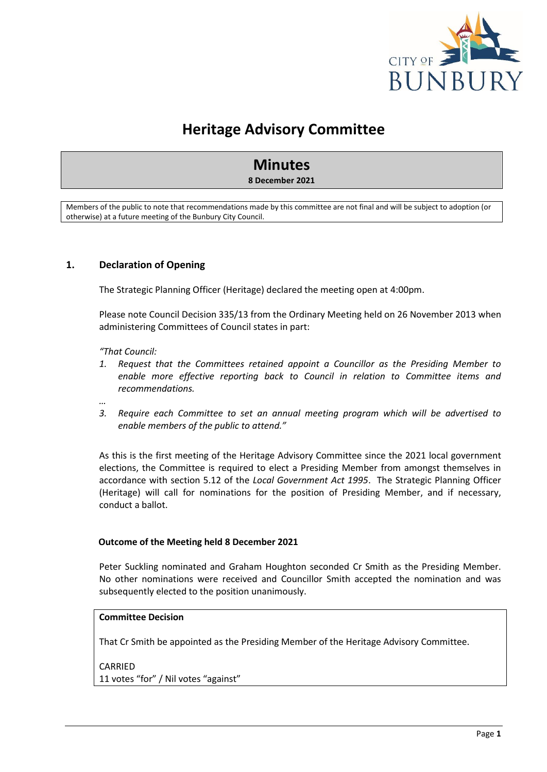

# **Heritage Advisory Committee**

# **Minutes**

#### **8 December 2021**

Members of the public to note that recommendations made by this committee are not final and will be subject to adoption (or otherwise) at a future meeting of the Bunbury City Council.

#### <span id="page-3-0"></span>**1. Declaration of Opening**

The Strategic Planning Officer (Heritage) declared the meeting open at 4:00pm.

Please note Council Decision 335/13 from the Ordinary Meeting held on 26 November 2013 when administering Committees of Council states in part:

*"That Council:* 

*…*

- *1. Request that the Committees retained appoint a Councillor as the Presiding Member to enable more effective reporting back to Council in relation to Committee items and recommendations.*
- *3. Require each Committee to set an annual meeting program which will be advertised to enable members of the public to attend."*

As this is the first meeting of the Heritage Advisory Committee since the 2021 local government elections, the Committee is required to elect a Presiding Member from amongst themselves in accordance with section 5.12 of the *Local Government Act 1995*. The Strategic Planning Officer (Heritage) will call for nominations for the position of Presiding Member, and if necessary, conduct a ballot.

#### **Outcome of the Meeting held 8 December 2021**

Peter Suckling nominated and Graham Houghton seconded Cr Smith as the Presiding Member. No other nominations were received and Councillor Smith accepted the nomination and was subsequently elected to the position unanimously.

#### **Committee Decision**

That Cr Smith be appointed as the Presiding Member of the Heritage Advisory Committee.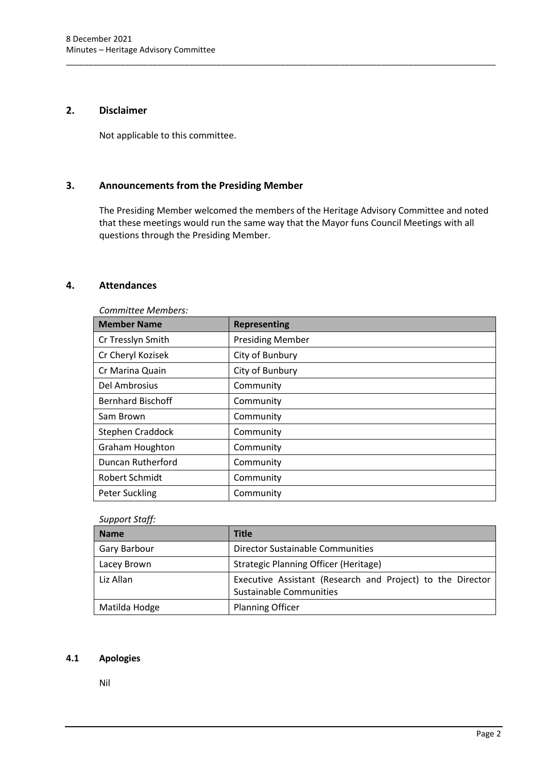### <span id="page-4-0"></span>**2. Disclaimer**

Not applicable to this committee.

### <span id="page-4-1"></span>**3. Announcements from the Presiding Member**

The Presiding Member welcomed the members of the Heritage Advisory Committee and noted that these meetings would run the same way that the Mayor funs Council Meetings with all questions through the Presiding Member.

\_\_\_\_\_\_\_\_\_\_\_\_\_\_\_\_\_\_\_\_\_\_\_\_\_\_\_\_\_\_\_\_\_\_\_\_\_\_\_\_\_\_\_\_\_\_\_\_\_\_\_\_\_\_\_\_\_\_\_\_\_\_\_\_\_\_\_\_\_\_\_\_\_\_\_\_\_\_\_\_\_\_\_\_\_\_\_\_\_\_\_\_\_\_

#### <span id="page-4-2"></span>**4. Attendances**

| Committee Members:       |                         |  |  |
|--------------------------|-------------------------|--|--|
| <b>Member Name</b>       | <b>Representing</b>     |  |  |
| Cr Tresslyn Smith        | <b>Presiding Member</b> |  |  |
| Cr Cheryl Kozisek        | City of Bunbury         |  |  |
| Cr Marina Quain          | City of Bunbury         |  |  |
| Del Ambrosius            | Community               |  |  |
| <b>Bernhard Bischoff</b> | Community               |  |  |
| Sam Brown                | Community               |  |  |
| Stephen Craddock         | Community               |  |  |
| <b>Graham Houghton</b>   | Community               |  |  |
| <b>Duncan Rutherford</b> | Community               |  |  |
| Robert Schmidt           | Community               |  |  |
| <b>Peter Suckling</b>    | Community               |  |  |

# *Support Staff:*

| <b>Name</b>   | <b>Title</b>                                                                          |
|---------------|---------------------------------------------------------------------------------------|
| Gary Barbour  | <b>Director Sustainable Communities</b>                                               |
| Lacey Brown   | Strategic Planning Officer (Heritage)                                                 |
| Liz Allan     | Executive Assistant (Research and Project) to the Director<br>Sustainable Communities |
| Matilda Hodge | <b>Planning Officer</b>                                                               |

#### <span id="page-4-3"></span>**4.1 Apologies**

Nil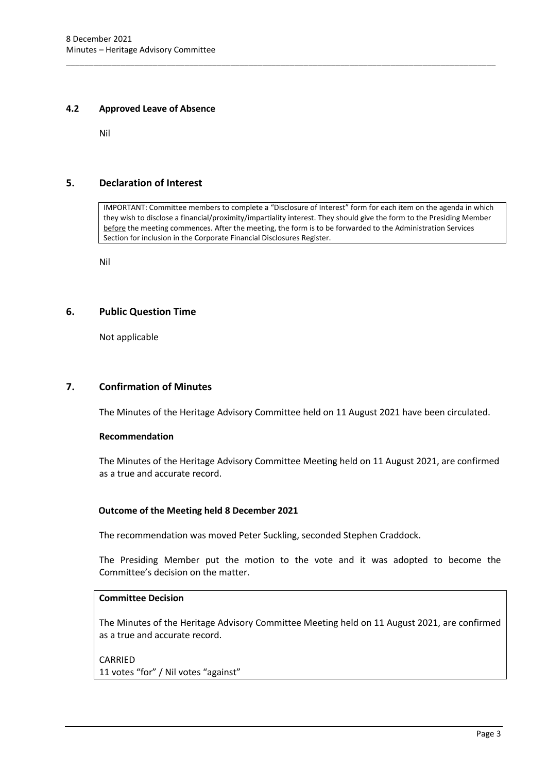#### <span id="page-5-0"></span>**4.2 Approved Leave of Absence**

Nil

### <span id="page-5-1"></span>**5. Declaration of Interest**

IMPORTANT: Committee members to complete a "Disclosure of Interest" form for each item on the agenda in which they wish to disclose a financial/proximity/impartiality interest. They should give the form to the Presiding Member before the meeting commences. After the meeting, the form is to be forwarded to the Administration Services Section for inclusion in the Corporate Financial Disclosures Register.

\_\_\_\_\_\_\_\_\_\_\_\_\_\_\_\_\_\_\_\_\_\_\_\_\_\_\_\_\_\_\_\_\_\_\_\_\_\_\_\_\_\_\_\_\_\_\_\_\_\_\_\_\_\_\_\_\_\_\_\_\_\_\_\_\_\_\_\_\_\_\_\_\_\_\_\_\_\_\_\_\_\_\_\_\_\_\_\_\_\_\_\_\_\_

Nil

#### <span id="page-5-2"></span>**6. Public Question Time**

Not applicable

#### <span id="page-5-3"></span>**7. Confirmation of Minutes**

The Minutes of the Heritage Advisory Committee held on 11 August 2021 have been circulated.

#### **Recommendation**

The Minutes of the Heritage Advisory Committee Meeting held on 11 August 2021, are confirmed as a true and accurate record.

#### **Outcome of the Meeting held 8 December 2021**

The recommendation was moved Peter Suckling, seconded Stephen Craddock.

The Presiding Member put the motion to the vote and it was adopted to become the Committee's decision on the matter.

### **Committee Decision**

The Minutes of the Heritage Advisory Committee Meeting held on 11 August 2021, are confirmed as a true and accurate record.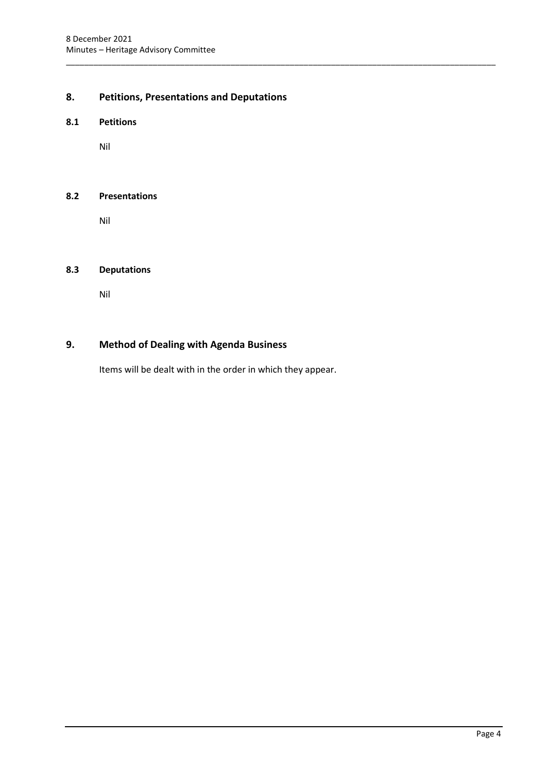# <span id="page-6-0"></span>**8. Petitions, Presentations and Deputations**

\_\_\_\_\_\_\_\_\_\_\_\_\_\_\_\_\_\_\_\_\_\_\_\_\_\_\_\_\_\_\_\_\_\_\_\_\_\_\_\_\_\_\_\_\_\_\_\_\_\_\_\_\_\_\_\_\_\_\_\_\_\_\_\_\_\_\_\_\_\_\_\_\_\_\_\_\_\_\_\_\_\_\_\_\_\_\_\_\_\_\_\_\_\_

#### <span id="page-6-1"></span>**8.1 Petitions**

Nil

#### <span id="page-6-2"></span>**8.2 Presentations**

Nil

#### <span id="page-6-3"></span>**8.3 Deputations**

Nil

# <span id="page-6-4"></span>**9. Method of Dealing with Agenda Business**

Items will be dealt with in the order in which they appear.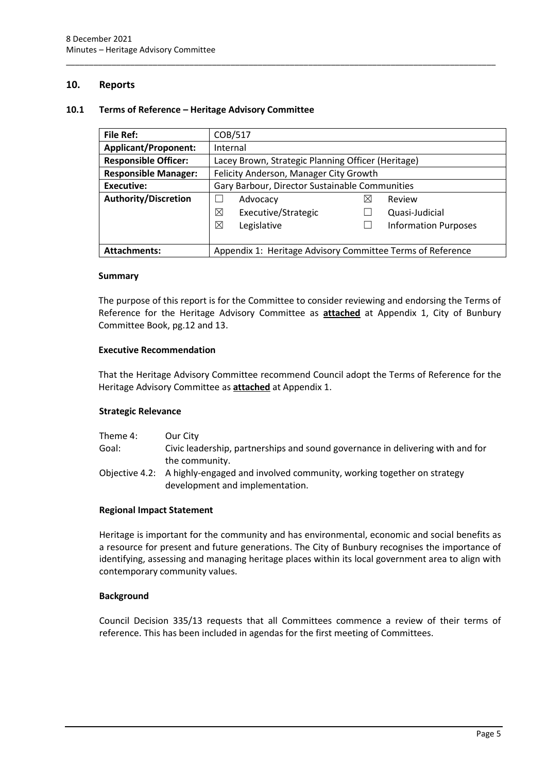#### <span id="page-7-0"></span>**10. Reports**

#### <span id="page-7-1"></span>**10.1 Terms of Reference – Heritage Advisory Committee**

| <b>File Ref:</b>                                                                  | COB/517                                            |   |                             |
|-----------------------------------------------------------------------------------|----------------------------------------------------|---|-----------------------------|
| <b>Applicant/Proponent:</b>                                                       | Internal                                           |   |                             |
| <b>Responsible Officer:</b>                                                       | Lacey Brown, Strategic Planning Officer (Heritage) |   |                             |
| <b>Responsible Manager:</b>                                                       | Felicity Anderson, Manager City Growth             |   |                             |
| Executive:                                                                        | Gary Barbour, Director Sustainable Communities     |   |                             |
| <b>Authority/Discretion</b>                                                       | Advocacy                                           | ⋈ | Review                      |
|                                                                                   | ⊠<br>Executive/Strategic                           |   | Quasi-Judicial              |
|                                                                                   | ⊠<br>Legislative                                   |   | <b>Information Purposes</b> |
|                                                                                   |                                                    |   |                             |
| Appendix 1: Heritage Advisory Committee Terms of Reference<br><b>Attachments:</b> |                                                    |   |                             |

\_\_\_\_\_\_\_\_\_\_\_\_\_\_\_\_\_\_\_\_\_\_\_\_\_\_\_\_\_\_\_\_\_\_\_\_\_\_\_\_\_\_\_\_\_\_\_\_\_\_\_\_\_\_\_\_\_\_\_\_\_\_\_\_\_\_\_\_\_\_\_\_\_\_\_\_\_\_\_\_\_\_\_\_\_\_\_\_\_\_\_\_\_\_

#### **Summary**

The purpose of this report is for the Committee to consider reviewing and endorsing the Terms of Reference for the Heritage Advisory Committee as **attached** at Appendix 1, City of Bunbury Committee Book, pg.12 and 13.

#### **Executive Recommendation**

That the Heritage Advisory Committee recommend Council adopt the Terms of Reference for the Heritage Advisory Committee as **attached** at Appendix 1.

#### **Strategic Relevance**

| Theme 4: | Our City                                                                             |
|----------|--------------------------------------------------------------------------------------|
| Goal:    | Civic leadership, partnerships and sound governance in delivering with and for       |
|          | the community.                                                                       |
|          | Objective 4.2: A highly-engaged and involved community, working together on strategy |
|          | development and implementation.                                                      |

#### **Regional Impact Statement**

Heritage is important for the community and has environmental, economic and social benefits as a resource for present and future generations. The City of Bunbury recognises the importance of identifying, assessing and managing heritage places within its local government area to align with contemporary community values.

#### **Background**

Council Decision 335/13 requests that all Committees commence a review of their terms of reference. This has been included in agendas for the first meeting of Committees.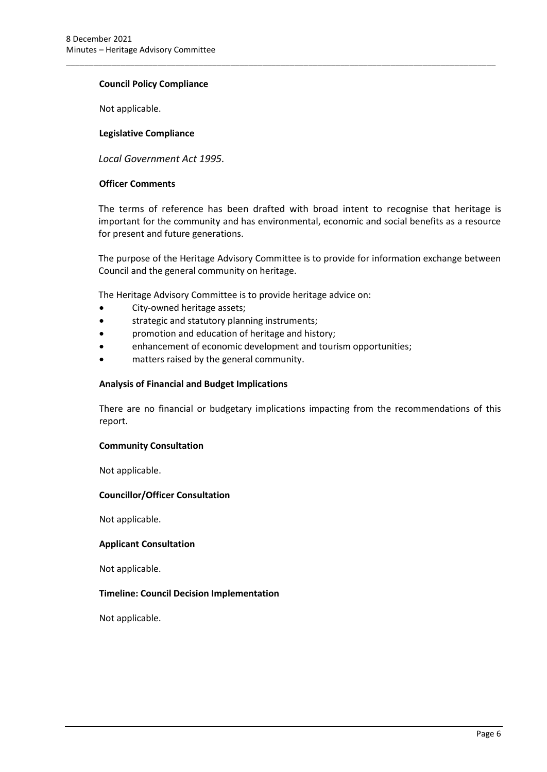#### **Council Policy Compliance**

Not applicable.

#### **Legislative Compliance**

*Local Government Act 1995.*

#### **Officer Comments**

The terms of reference has been drafted with broad intent to recognise that heritage is important for the community and has environmental, economic and social benefits as a resource for present and future generations.

\_\_\_\_\_\_\_\_\_\_\_\_\_\_\_\_\_\_\_\_\_\_\_\_\_\_\_\_\_\_\_\_\_\_\_\_\_\_\_\_\_\_\_\_\_\_\_\_\_\_\_\_\_\_\_\_\_\_\_\_\_\_\_\_\_\_\_\_\_\_\_\_\_\_\_\_\_\_\_\_\_\_\_\_\_\_\_\_\_\_\_\_\_\_

The purpose of the Heritage Advisory Committee is to provide for information exchange between Council and the general community on heritage.

The Heritage Advisory Committee is to provide heritage advice on:

- City-owned heritage assets;
- strategic and statutory planning instruments;
- promotion and education of heritage and history;
- enhancement of economic development and tourism opportunities;
- matters raised by the general community.

#### **Analysis of Financial and Budget Implications**

There are no financial or budgetary implications impacting from the recommendations of this report.

#### **Community Consultation**

Not applicable.

#### **Councillor/Officer Consultation**

Not applicable.

#### **Applicant Consultation**

Not applicable.

#### **Timeline: Council Decision Implementation**

Not applicable.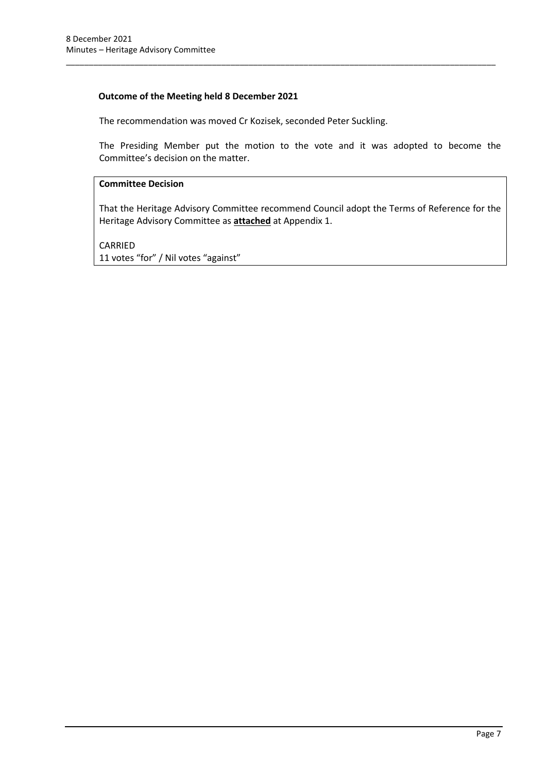### **Outcome of the Meeting held 8 December 2021**

The recommendation was moved Cr Kozisek, seconded Peter Suckling.

The Presiding Member put the motion to the vote and it was adopted to become the Committee's decision on the matter.

\_\_\_\_\_\_\_\_\_\_\_\_\_\_\_\_\_\_\_\_\_\_\_\_\_\_\_\_\_\_\_\_\_\_\_\_\_\_\_\_\_\_\_\_\_\_\_\_\_\_\_\_\_\_\_\_\_\_\_\_\_\_\_\_\_\_\_\_\_\_\_\_\_\_\_\_\_\_\_\_\_\_\_\_\_\_\_\_\_\_\_\_\_\_

#### **Committee Decision**

That the Heritage Advisory Committee recommend Council adopt the Terms of Reference for the Heritage Advisory Committee as **attached** at Appendix 1.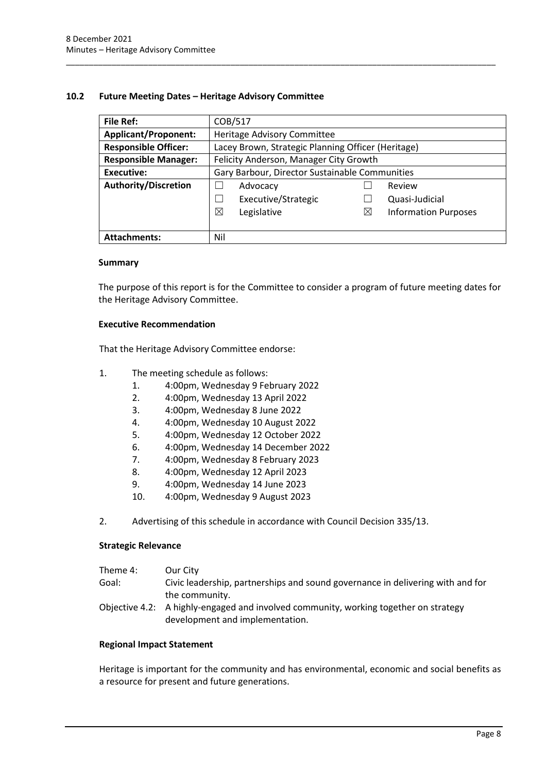#### <span id="page-10-0"></span>**10.2 Future Meeting Dates – Heritage Advisory Committee**

| <b>File Ref:</b>            | COB/517                                            |             |                             |
|-----------------------------|----------------------------------------------------|-------------|-----------------------------|
| <b>Applicant/Proponent:</b> | Heritage Advisory Committee                        |             |                             |
| <b>Responsible Officer:</b> | Lacey Brown, Strategic Planning Officer (Heritage) |             |                             |
| <b>Responsible Manager:</b> | Felicity Anderson, Manager City Growth             |             |                             |
| Executive:                  | Gary Barbour, Director Sustainable Communities     |             |                             |
| Authority/Discretion        | Advocacy                                           |             | Review                      |
|                             | Executive/Strategic                                |             | Quasi-Judicial              |
|                             | ⊠<br>Legislative                                   | $\boxtimes$ | <b>Information Purposes</b> |
|                             |                                                    |             |                             |
| <b>Attachments:</b>         | Nil                                                |             |                             |

\_\_\_\_\_\_\_\_\_\_\_\_\_\_\_\_\_\_\_\_\_\_\_\_\_\_\_\_\_\_\_\_\_\_\_\_\_\_\_\_\_\_\_\_\_\_\_\_\_\_\_\_\_\_\_\_\_\_\_\_\_\_\_\_\_\_\_\_\_\_\_\_\_\_\_\_\_\_\_\_\_\_\_\_\_\_\_\_\_\_\_\_\_\_

#### **Summary**

The purpose of this report is for the Committee to consider a program of future meeting dates for the Heritage Advisory Committee.

#### **Executive Recommendation**

That the Heritage Advisory Committee endorse:

- 1. The meeting schedule as follows:
	- 1. 4:00pm, Wednesday 9 February 2022
	- 2. 4:00pm, Wednesday 13 April 2022
	- 3. 4:00pm, Wednesday 8 June 2022
	- 4. 4:00pm, Wednesday 10 August 2022
	- 5. 4:00pm, Wednesday 12 October 2022
	- 6. 4:00pm, Wednesday 14 December 2022
	- 7. 4:00pm, Wednesday 8 February 2023
	- 8. 4:00pm, Wednesday 12 April 2023
	- 9. 4:00pm, Wednesday 14 June 2023
	- 10. 4:00pm, Wednesday 9 August 2023
- 2. Advertising of this schedule in accordance with Council Decision 335/13.

#### **Strategic Relevance**

| Theme 4: | Our City                                                                                |
|----------|-----------------------------------------------------------------------------------------|
| Goal:    | Civic leadership, partnerships and sound governance in delivering with and for          |
|          | the community.                                                                          |
|          | Objective $4.2$ : A highly-engaged and involved community, working together on strategy |

Objective 4.2: A highly-engaged and involved community, working together on strategy development and implementation.

#### **Regional Impact Statement**

Heritage is important for the community and has environmental, economic and social benefits as a resource for present and future generations.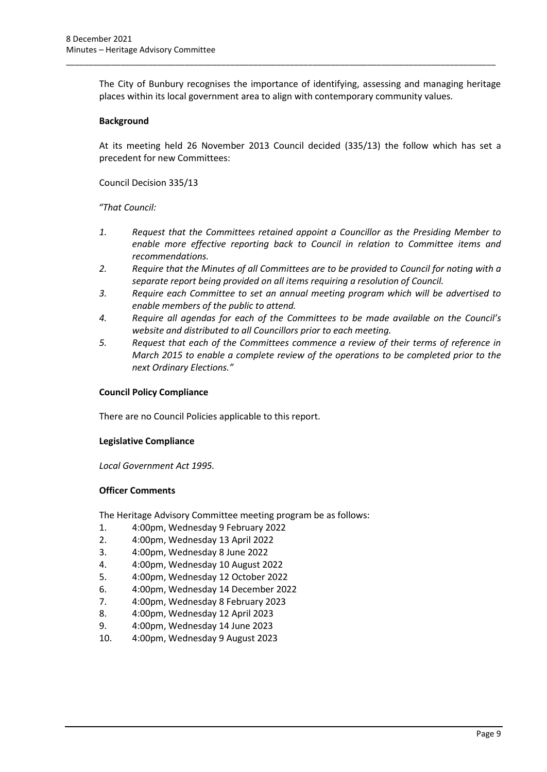The City of Bunbury recognises the importance of identifying, assessing and managing heritage places within its local government area to align with contemporary community values.

\_\_\_\_\_\_\_\_\_\_\_\_\_\_\_\_\_\_\_\_\_\_\_\_\_\_\_\_\_\_\_\_\_\_\_\_\_\_\_\_\_\_\_\_\_\_\_\_\_\_\_\_\_\_\_\_\_\_\_\_\_\_\_\_\_\_\_\_\_\_\_\_\_\_\_\_\_\_\_\_\_\_\_\_\_\_\_\_\_\_\_\_\_\_

#### **Background**

At its meeting held 26 November 2013 Council decided (335/13) the follow which has set a precedent for new Committees:

Council Decision 335/13

*"That Council:*

- *1. Request that the Committees retained appoint a Councillor as the Presiding Member to enable more effective reporting back to Council in relation to Committee items and recommendations.*
- *2. Require that the Minutes of all Committees are to be provided to Council for noting with a separate report being provided on all items requiring a resolution of Council.*
- *3. Require each Committee to set an annual meeting program which will be advertised to enable members of the public to attend.*
- *4. Require all agendas for each of the Committees to be made available on the Council's website and distributed to all Councillors prior to each meeting.*
- *5. Request that each of the Committees commence a review of their terms of reference in March 2015 to enable a complete review of the operations to be completed prior to the next Ordinary Elections."*

#### **Council Policy Compliance**

There are no Council Policies applicable to this report.

#### **Legislative Compliance**

*Local Government Act 1995.* 

#### **Officer Comments**

The Heritage Advisory Committee meeting program be as follows:

- 1. 4:00pm, Wednesday 9 February 2022
- 2. 4:00pm, Wednesday 13 April 2022
- 3. 4:00pm, Wednesday 8 June 2022
- 4. 4:00pm, Wednesday 10 August 2022
- 5. 4:00pm, Wednesday 12 October 2022
- 6. 4:00pm, Wednesday 14 December 2022
- 7. 4:00pm, Wednesday 8 February 2023
- 8. 4:00pm, Wednesday 12 April 2023
- 9. 4:00pm, Wednesday 14 June 2023
- 10. 4:00pm, Wednesday 9 August 2023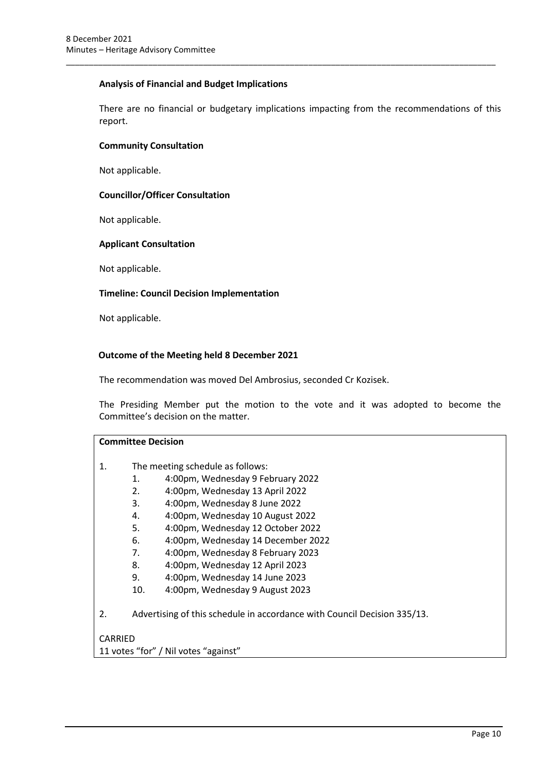#### **Analysis of Financial and Budget Implications**

There are no financial or budgetary implications impacting from the recommendations of this report.

\_\_\_\_\_\_\_\_\_\_\_\_\_\_\_\_\_\_\_\_\_\_\_\_\_\_\_\_\_\_\_\_\_\_\_\_\_\_\_\_\_\_\_\_\_\_\_\_\_\_\_\_\_\_\_\_\_\_\_\_\_\_\_\_\_\_\_\_\_\_\_\_\_\_\_\_\_\_\_\_\_\_\_\_\_\_\_\_\_\_\_\_\_\_

#### **Community Consultation**

Not applicable.

#### **Councillor/Officer Consultation**

Not applicable.

#### **Applicant Consultation**

Not applicable.

#### **Timeline: Council Decision Implementation**

Not applicable.

#### **Outcome of the Meeting held 8 December 2021**

The recommendation was moved Del Ambrosius, seconded Cr Kozisek.

The Presiding Member put the motion to the vote and it was adopted to become the Committee's decision on the matter.

|                | <b>Committee Decision</b> |                                                                          |  |
|----------------|---------------------------|--------------------------------------------------------------------------|--|
| $\mathbf{1}$ . |                           | The meeting schedule as follows:                                         |  |
|                | 1.                        | 4:00pm, Wednesday 9 February 2022                                        |  |
|                | 2.                        | 4:00pm, Wednesday 13 April 2022                                          |  |
|                | 3.                        | 4:00pm, Wednesday 8 June 2022                                            |  |
|                | 4.                        | 4:00pm, Wednesday 10 August 2022                                         |  |
|                | 5.                        | 4:00pm, Wednesday 12 October 2022                                        |  |
|                | 6.                        | 4:00pm, Wednesday 14 December 2022                                       |  |
|                | 7.                        | 4:00pm, Wednesday 8 February 2023                                        |  |
|                | 8.                        | 4:00pm, Wednesday 12 April 2023                                          |  |
|                | 9.                        | 4:00pm, Wednesday 14 June 2023                                           |  |
|                | 10.                       | 4:00pm, Wednesday 9 August 2023                                          |  |
| 2.             |                           | Advertising of this schedule in accordance with Council Decision 335/13. |  |

### CARRIED

11 votes "for" / Nil votes "against"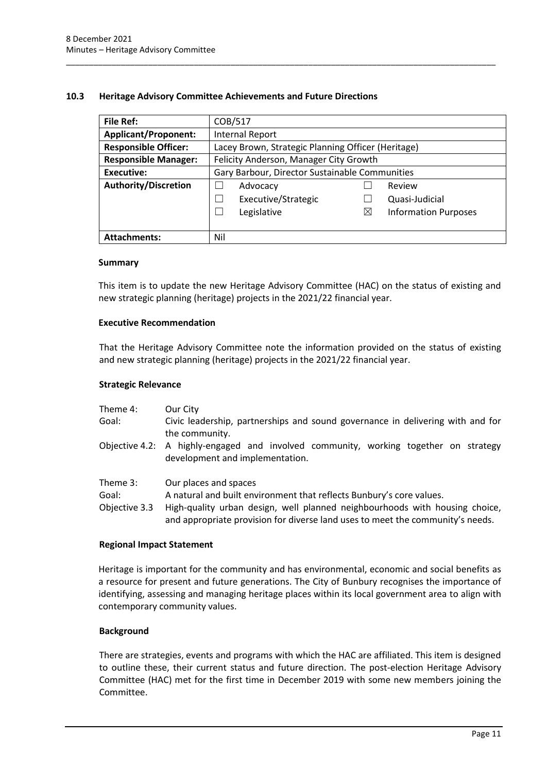#### <span id="page-13-0"></span>**10.3 Heritage Advisory Committee Achievements and Future Directions**

| <b>File Ref:</b>            | COB/517                                            |             |                             |
|-----------------------------|----------------------------------------------------|-------------|-----------------------------|
| <b>Applicant/Proponent:</b> | <b>Internal Report</b>                             |             |                             |
| <b>Responsible Officer:</b> | Lacey Brown, Strategic Planning Officer (Heritage) |             |                             |
| <b>Responsible Manager:</b> | Felicity Anderson, Manager City Growth             |             |                             |
| <b>Executive:</b>           | Gary Barbour, Director Sustainable Communities     |             |                             |
| Authority/Discretion        | Advocacy                                           |             | Review                      |
|                             | Executive/Strategic                                |             | Quasi-Judicial              |
|                             | Legislative<br>×                                   | $\boxtimes$ | <b>Information Purposes</b> |
|                             |                                                    |             |                             |
| <b>Attachments:</b>         | Nil                                                |             |                             |

\_\_\_\_\_\_\_\_\_\_\_\_\_\_\_\_\_\_\_\_\_\_\_\_\_\_\_\_\_\_\_\_\_\_\_\_\_\_\_\_\_\_\_\_\_\_\_\_\_\_\_\_\_\_\_\_\_\_\_\_\_\_\_\_\_\_\_\_\_\_\_\_\_\_\_\_\_\_\_\_\_\_\_\_\_\_\_\_\_\_\_\_\_\_

#### **Summary**

This item is to update the new Heritage Advisory Committee (HAC) on the status of existing and new strategic planning (heritage) projects in the 2021/22 financial year.

#### **Executive Recommendation**

That the Heritage Advisory Committee note the information provided on the status of existing and new strategic planning (heritage) projects in the 2021/22 financial year.

#### **Strategic Relevance**

| Theme 4:                           | Our City                                                                                                                                                                                                                                                       |
|------------------------------------|----------------------------------------------------------------------------------------------------------------------------------------------------------------------------------------------------------------------------------------------------------------|
| Goal:                              | Civic leadership, partnerships and sound governance in delivering with and for<br>the community.                                                                                                                                                               |
|                                    | Objective 4.2: A highly-engaged and involved community, working together on strategy<br>development and implementation.                                                                                                                                        |
| Theme 3:<br>Goal:<br>Objective 3.3 | Our places and spaces<br>A natural and built environment that reflects Bunbury's core values.<br>High-quality urban design, well planned neighbourhoods with housing choice,<br>and appropriate provision for diverse land uses to meet the community's needs. |

#### **Regional Impact Statement**

Heritage is important for the community and has environmental, economic and social benefits as a resource for present and future generations. The City of Bunbury recognises the importance of identifying, assessing and managing heritage places within its local government area to align with contemporary community values.

#### **Background**

There are strategies, events and programs with which the HAC are affiliated. This item is designed to outline these, their current status and future direction. The post-election Heritage Advisory Committee (HAC) met for the first time in December 2019 with some new members joining the Committee.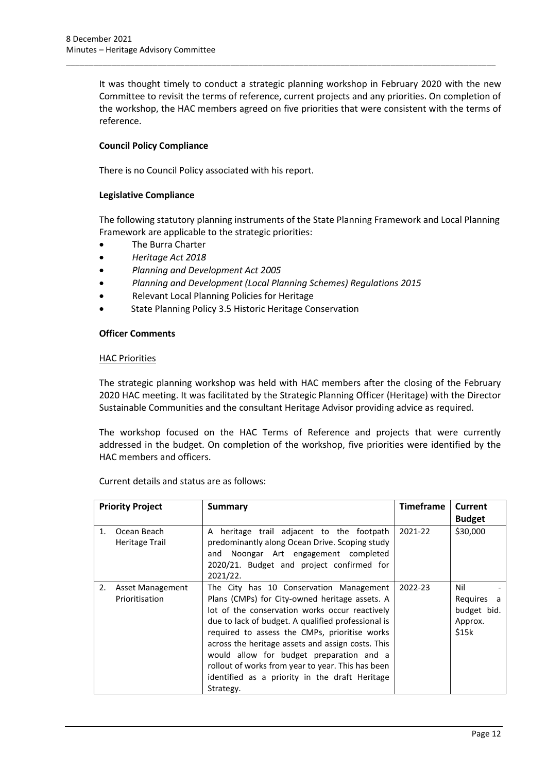It was thought timely to conduct a strategic planning workshop in February 2020 with the new Committee to revisit the terms of reference, current projects and any priorities. On completion of the workshop, the HAC members agreed on five priorities that were consistent with the terms of reference.

\_\_\_\_\_\_\_\_\_\_\_\_\_\_\_\_\_\_\_\_\_\_\_\_\_\_\_\_\_\_\_\_\_\_\_\_\_\_\_\_\_\_\_\_\_\_\_\_\_\_\_\_\_\_\_\_\_\_\_\_\_\_\_\_\_\_\_\_\_\_\_\_\_\_\_\_\_\_\_\_\_\_\_\_\_\_\_\_\_\_\_\_\_\_

#### **Council Policy Compliance**

There is no Council Policy associated with his report.

#### **Legislative Compliance**

The following statutory planning instruments of the State Planning Framework and Local Planning Framework are applicable to the strategic priorities:

- The Burra Charter
- *Heritage Act 2018*
- *Planning and Development Act 2005*
- *Planning and Development (Local Planning Schemes) Regulations 2015*
- Relevant Local Planning Policies for Heritage
- State Planning Policy 3.5 Historic Heritage Conservation

#### **Officer Comments**

#### HAC Priorities

The strategic planning workshop was held with HAC members after the closing of the February 2020 HAC meeting. It was facilitated by the Strategic Planning Officer (Heritage) with the Director Sustainable Communities and the consultant Heritage Advisor providing advice as required.

The workshop focused on the HAC Terms of Reference and projects that were currently addressed in the budget. On completion of the workshop, five priorities were identified by the HAC members and officers.

Current details and status are as follows:

| <b>Priority Project</b> |                                           | Summary                                                                                                                                                                                                                                                                                                                                                                                                                                                                 | <b>Timeframe</b> | <b>Current</b><br><b>Budget</b>                         |
|-------------------------|-------------------------------------------|-------------------------------------------------------------------------------------------------------------------------------------------------------------------------------------------------------------------------------------------------------------------------------------------------------------------------------------------------------------------------------------------------------------------------------------------------------------------------|------------------|---------------------------------------------------------|
| 1.                      | Ocean Beach<br>Heritage Trail             | A heritage trail adjacent to the footpath<br>predominantly along Ocean Drive. Scoping study<br>and Noongar Art engagement completed<br>2020/21. Budget and project confirmed for<br>2021/22.                                                                                                                                                                                                                                                                            | 2021-22          | \$30,000                                                |
| 2.                      | <b>Asset Management</b><br>Prioritisation | The City has 10 Conservation Management<br>Plans (CMPs) for City-owned heritage assets. A<br>lot of the conservation works occur reactively<br>due to lack of budget. A qualified professional is<br>required to assess the CMPs, prioritise works<br>across the heritage assets and assign costs. This<br>would allow for budget preparation and a<br>rollout of works from year to year. This has been<br>identified as a priority in the draft Heritage<br>Strategy. | 2022-23          | Nil<br>Requires<br>a<br>budget bid.<br>Approx.<br>\$15k |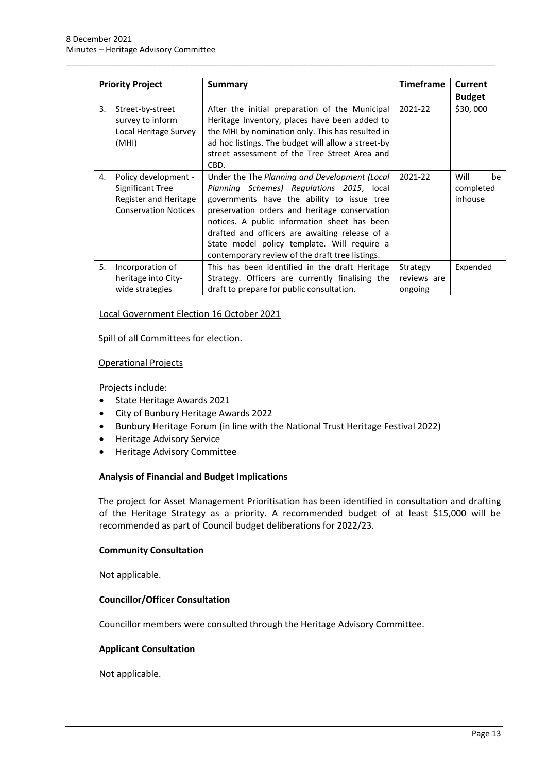| <b>Priority Project</b> |                                                                                                  | Summary                                                                                                                                                                                                                                                                                                                                                                                       | <b>Timeframe</b>                   | Current<br><b>Budget</b>           |  |
|-------------------------|--------------------------------------------------------------------------------------------------|-----------------------------------------------------------------------------------------------------------------------------------------------------------------------------------------------------------------------------------------------------------------------------------------------------------------------------------------------------------------------------------------------|------------------------------------|------------------------------------|--|
| 3.                      | Street-by-street<br>survey to inform<br>Local Heritage Survey<br>(MHI)                           | After the initial preparation of the Municipal<br>Heritage Inventory, places have been added to<br>the MHI by nomination only. This has resulted in<br>ad hoc listings. The budget will allow a street-by<br>street assessment of the Tree Street Area and<br>CBD.                                                                                                                            | 2021-22                            | \$30,000                           |  |
| 4.                      | Policy development -<br>Significant Tree<br>Register and Heritage<br><b>Conservation Notices</b> | Under the The Planning and Development (Local<br>Planning Schemes) Regulations 2015, local<br>governments have the ability to issue tree<br>preservation orders and heritage conservation<br>notices. A public information sheet has been<br>drafted and officers are awaiting release of a<br>State model policy template. Will require a<br>contemporary review of the draft tree listings. | 2021-22                            | Will<br>be<br>completed<br>inhouse |  |
| 5.                      | Incorporation of<br>heritage into City-<br>wide strategies                                       | This has been identified in the draft Heritage<br>Strategy. Officers are currently finalising the<br>draft to prepare for public consultation.                                                                                                                                                                                                                                                | Strategy<br>reviews are<br>ongoing | Expended                           |  |

\_\_\_\_\_\_\_\_\_\_\_\_\_\_\_\_\_\_\_\_\_\_\_\_\_\_\_\_\_\_\_\_\_\_\_\_\_\_\_\_\_\_\_\_\_\_\_\_\_\_\_\_\_\_\_\_\_\_\_\_\_\_\_\_\_\_\_\_\_\_\_\_\_\_\_\_\_\_\_\_\_\_\_\_\_\_\_\_\_\_\_\_\_\_

#### Local Government Election 16 October 2021

Spill of all Committees for election.

#### Operational Projects

Projects include:

- State Heritage Awards 2021
- City of Bunbury Heritage Awards 2022
- Bunbury Heritage Forum (in line with the National Trust Heritage Festival 2022)
- Heritage Advisory Service
- Heritage Advisory Committee

#### **Analysis of Financial and Budget Implications**

The project for Asset Management Prioritisation has been identified in consultation and drafting of the Heritage Strategy as a priority. A recommended budget of at least \$15,000 will be recommended as part of Council budget deliberations for 2022/23.

#### **Community Consultation**

Not applicable.

#### **Councillor/Officer Consultation**

Councillor members were consulted through the Heritage Advisory Committee.

#### **Applicant Consultation**

Not applicable.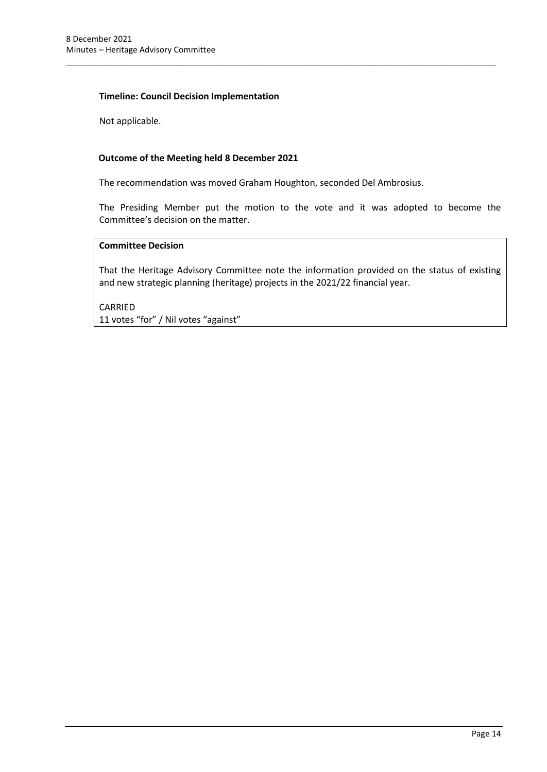#### **Timeline: Council Decision Implementation**

Not applicable.

#### **Outcome of the Meeting held 8 December 2021**

The recommendation was moved Graham Houghton, seconded Del Ambrosius.

\_\_\_\_\_\_\_\_\_\_\_\_\_\_\_\_\_\_\_\_\_\_\_\_\_\_\_\_\_\_\_\_\_\_\_\_\_\_\_\_\_\_\_\_\_\_\_\_\_\_\_\_\_\_\_\_\_\_\_\_\_\_\_\_\_\_\_\_\_\_\_\_\_\_\_\_\_\_\_\_\_\_\_\_\_\_\_\_\_\_\_\_\_\_

The Presiding Member put the motion to the vote and it was adopted to become the Committee's decision on the matter.

#### **Committee Decision**

That the Heritage Advisory Committee note the information provided on the status of existing and new strategic planning (heritage) projects in the 2021/22 financial year.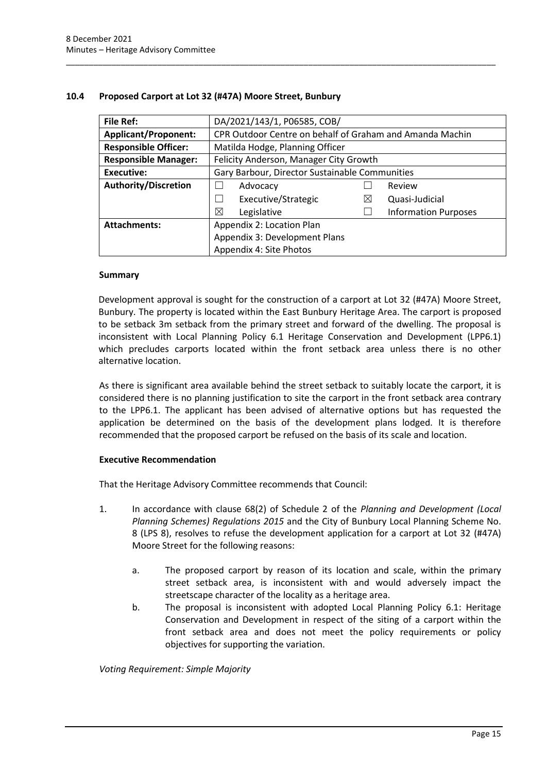| <b>File Ref:</b>            | DA/2021/143/1, P06585, COB/                              |   |                             |
|-----------------------------|----------------------------------------------------------|---|-----------------------------|
| <b>Applicant/Proponent:</b> | CPR Outdoor Centre on behalf of Graham and Amanda Machin |   |                             |
| <b>Responsible Officer:</b> | Matilda Hodge, Planning Officer                          |   |                             |
| <b>Responsible Manager:</b> | Felicity Anderson, Manager City Growth                   |   |                             |
| <b>Executive:</b>           | Gary Barbour, Director Sustainable Communities           |   |                             |
| <b>Authority/Discretion</b> | Advocacy                                                 |   | Review                      |
|                             | Executive/Strategic                                      | ⊠ | Quasi-Judicial              |
|                             | ⊠<br>Legislative                                         |   | <b>Information Purposes</b> |
| <b>Attachments:</b>         | Appendix 2: Location Plan                                |   |                             |
|                             | Appendix 3: Development Plans                            |   |                             |
|                             | Appendix 4: Site Photos                                  |   |                             |

\_\_\_\_\_\_\_\_\_\_\_\_\_\_\_\_\_\_\_\_\_\_\_\_\_\_\_\_\_\_\_\_\_\_\_\_\_\_\_\_\_\_\_\_\_\_\_\_\_\_\_\_\_\_\_\_\_\_\_\_\_\_\_\_\_\_\_\_\_\_\_\_\_\_\_\_\_\_\_\_\_\_\_\_\_\_\_\_\_\_\_\_\_\_

#### <span id="page-17-0"></span>**10.4 Proposed Carport at Lot 32 (#47A) Moore Street, Bunbury**

#### **Summary**

Development approval is sought for the construction of a carport at Lot 32 (#47A) Moore Street, Bunbury. The property is located within the East Bunbury Heritage Area. The carport is proposed to be setback 3m setback from the primary street and forward of the dwelling. The proposal is inconsistent with Local Planning Policy 6.1 Heritage Conservation and Development (LPP6.1) which precludes carports located within the front setback area unless there is no other alternative location.

As there is significant area available behind the street setback to suitably locate the carport, it is considered there is no planning justification to site the carport in the front setback area contrary to the LPP6.1. The applicant has been advised of alternative options but has requested the application be determined on the basis of the development plans lodged. It is therefore recommended that the proposed carport be refused on the basis of its scale and location.

#### **Executive Recommendation**

That the Heritage Advisory Committee recommends that Council:

- 1. In accordance with clause 68(2) of Schedule 2 of the *Planning and Development (Local Planning Schemes) Regulations 2015* and the City of Bunbury Local Planning Scheme No. 8 (LPS 8), resolves to refuse the development application for a carport at Lot 32 (#47A) Moore Street for the following reasons:
	- a. The proposed carport by reason of its location and scale, within the primary street setback area, is inconsistent with and would adversely impact the streetscape character of the locality as a heritage area.
	- b. The proposal is inconsistent with adopted Local Planning Policy 6.1: Heritage Conservation and Development in respect of the siting of a carport within the front setback area and does not meet the policy requirements or policy objectives for supporting the variation.

*Voting Requirement: Simple Majority*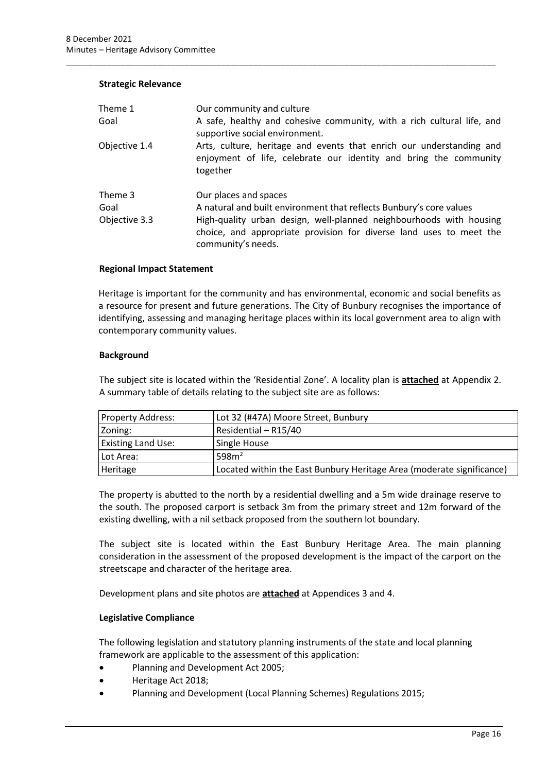#### **Strategic Relevance**

| Theme 1<br>Goal                  | Our community and culture<br>A safe, healthy and cohesive community, with a rich cultural life, and<br>supportive social environment.                                                                                                                            |
|----------------------------------|------------------------------------------------------------------------------------------------------------------------------------------------------------------------------------------------------------------------------------------------------------------|
| Objective 1.4                    | Arts, culture, heritage and events that enrich our understanding and<br>enjoyment of life, celebrate our identity and bring the community<br>together                                                                                                            |
| Theme 3<br>Goal<br>Objective 3.3 | Our places and spaces<br>A natural and built environment that reflects Bunbury's core values<br>High-quality urban design, well-planned neighbourhoods with housing<br>choice, and appropriate provision for diverse land uses to meet the<br>community's needs. |

\_\_\_\_\_\_\_\_\_\_\_\_\_\_\_\_\_\_\_\_\_\_\_\_\_\_\_\_\_\_\_\_\_\_\_\_\_\_\_\_\_\_\_\_\_\_\_\_\_\_\_\_\_\_\_\_\_\_\_\_\_\_\_\_\_\_\_\_\_\_\_\_\_\_\_\_\_\_\_\_\_\_\_\_\_\_\_\_\_\_\_\_\_\_

#### **Regional Impact Statement**

Heritage is important for the community and has environmental, economic and social benefits as a resource for present and future generations. The City of Bunbury recognises the importance of identifying, assessing and managing heritage places within its local government area to align with contemporary community values.

#### **Background**

The subject site is located within the 'Residential Zone'. A locality plan is **attached** at Appendix 2. A summary table of details relating to the subject site are as follows:

| <b>Property Address:</b>  | Lot 32 (#47A) Moore Street, Bunbury                                   |
|---------------------------|-----------------------------------------------------------------------|
| Zoning:                   | Residential - R15/40                                                  |
| <b>Existing Land Use:</b> | Single House                                                          |
| Lot Area:                 | 598m <sup>2</sup>                                                     |
| Heritage                  | Located within the East Bunbury Heritage Area (moderate significance) |

The property is abutted to the north by a residential dwelling and a 5m wide drainage reserve to the south. The proposed carport is setback 3m from the primary street and 12m forward of the existing dwelling, with a nil setback proposed from the southern lot boundary.

The subject site is located within the East Bunbury Heritage Area. The main planning consideration in the assessment of the proposed development is the impact of the carport on the streetscape and character of the heritage area.

Development plans and site photos are **attached** at Appendices 3 and 4.

#### **Legislative Compliance**

The following legislation and statutory planning instruments of the state and local planning framework are applicable to the assessment of this application:

- Planning and Development Act 2005;
- Heritage Act 2018;
- Planning and Development (Local Planning Schemes) Regulations 2015;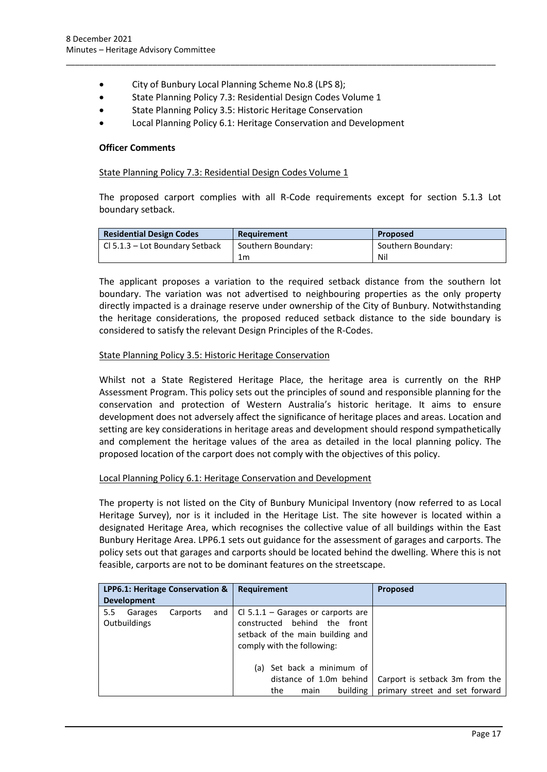- City of Bunbury Local Planning Scheme No.8 (LPS 8);
- State Planning Policy 7.3: Residential Design Codes Volume 1
- State Planning Policy 3.5: Historic Heritage Conservation
- Local Planning Policy 6.1: Heritage Conservation and Development

\_\_\_\_\_\_\_\_\_\_\_\_\_\_\_\_\_\_\_\_\_\_\_\_\_\_\_\_\_\_\_\_\_\_\_\_\_\_\_\_\_\_\_\_\_\_\_\_\_\_\_\_\_\_\_\_\_\_\_\_\_\_\_\_\_\_\_\_\_\_\_\_\_\_\_\_\_\_\_\_\_\_\_\_\_\_\_\_\_\_\_\_\_\_

#### **Officer Comments**

#### State Planning Policy 7.3: Residential Design Codes Volume 1

The proposed carport complies with all R-Code requirements except for section 5.1.3 Lot boundary setback.

| <b>Residential Design Codes</b> | Requirement        | <b>Proposed</b>    |
|---------------------------------|--------------------|--------------------|
| Cl 5.1.3 – Lot Boundary Setback | Southern Boundary: | Southern Boundary: |
|                                 | 1m                 | Nil                |

The applicant proposes a variation to the required setback distance from the southern lot boundary. The variation was not advertised to neighbouring properties as the only property directly impacted is a drainage reserve under ownership of the City of Bunbury. Notwithstanding the heritage considerations, the proposed reduced setback distance to the side boundary is considered to satisfy the relevant Design Principles of the R-Codes.

#### State Planning Policy 3.5: Historic Heritage Conservation

Whilst not a State Registered Heritage Place, the heritage area is currently on the RHP Assessment Program. This policy sets out the principles of sound and responsible planning for the conservation and protection of Western Australia's historic heritage. It aims to ensure development does not adversely affect the significance of heritage places and areas. Location and setting are key considerations in heritage areas and development should respond sympathetically and complement the heritage values of the area as detailed in the local planning policy. The proposed location of the carport does not comply with the objectives of this policy.

#### Local Planning Policy 6.1: Heritage Conservation and Development

The property is not listed on the City of Bunbury Municipal Inventory (now referred to as Local Heritage Survey), nor is it included in the Heritage List. The site however is located within a designated Heritage Area, which recognises the collective value of all buildings within the East Bunbury Heritage Area. LPP6.1 sets out guidance for the assessment of garages and carports. The policy sets out that garages and carports should be located behind the dwelling. Where this is not feasible, carports are not to be dominant features on the streetscape.

| LPP6.1: Heritage Conservation & |         |          |     | Requirement                                                                                                                                  | <b>Proposed</b>                                                  |
|---------------------------------|---------|----------|-----|----------------------------------------------------------------------------------------------------------------------------------------------|------------------------------------------------------------------|
| <b>Development</b>              |         |          |     |                                                                                                                                              |                                                                  |
| $5.5^{\circ}$<br>Outbuildings   | Garages | Carports | and | $\vert$ Cl 5.1.1 – Garages or carports are<br>constructed behind the front<br>setback of the main building and<br>comply with the following: |                                                                  |
|                                 |         |          |     | (a) Set back a minimum of<br>distance of 1.0m behind<br>building<br>the<br>main                                                              | Carport is setback 3m from the<br>primary street and set forward |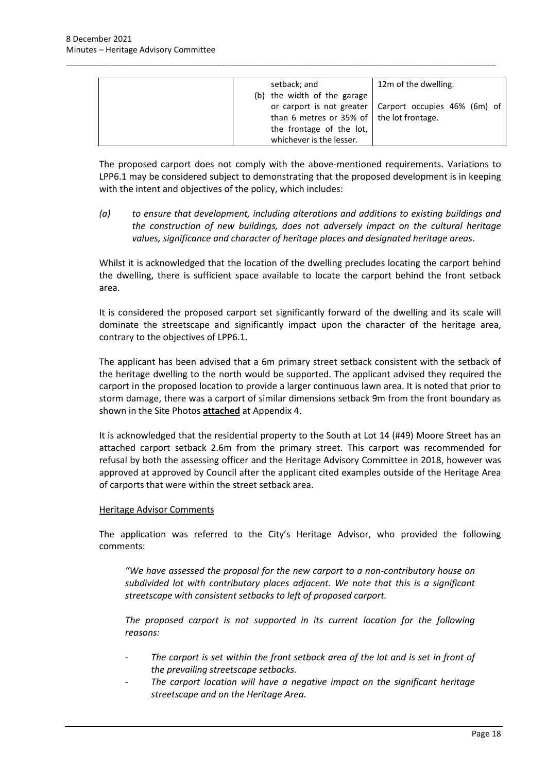| setback; and                                      | 12m of the dwelling.                                     |
|---------------------------------------------------|----------------------------------------------------------|
| (b) the width of the garage                       |                                                          |
|                                                   |                                                          |
|                                                   | or carport is not greater   Carport occupies 46% (6m) of |
| than 6 metres or 35% of $\vert$ the lot frontage. |                                                          |
| the frontage of the lot,                          |                                                          |
| whichever is the lesser.                          |                                                          |

\_\_\_\_\_\_\_\_\_\_\_\_\_\_\_\_\_\_\_\_\_\_\_\_\_\_\_\_\_\_\_\_\_\_\_\_\_\_\_\_\_\_\_\_\_\_\_\_\_\_\_\_\_\_\_\_\_\_\_\_\_\_\_\_\_\_\_\_\_\_\_\_\_\_\_\_\_\_\_\_\_\_\_\_\_\_\_\_\_\_\_\_\_\_

The proposed carport does not comply with the above-mentioned requirements. Variations to LPP6.1 may be considered subject to demonstrating that the proposed development is in keeping with the intent and objectives of the policy, which includes:

*(a) to ensure that development, including alterations and additions to existing buildings and the construction of new buildings, does not adversely impact on the cultural heritage values, significance and character of heritage places and designated heritage areas*.

Whilst it is acknowledged that the location of the dwelling precludes locating the carport behind the dwelling, there is sufficient space available to locate the carport behind the front setback area.

It is considered the proposed carport set significantly forward of the dwelling and its scale will dominate the streetscape and significantly impact upon the character of the heritage area, contrary to the objectives of LPP6.1.

The applicant has been advised that a 6m primary street setback consistent with the setback of the heritage dwelling to the north would be supported. The applicant advised they required the carport in the proposed location to provide a larger continuous lawn area. It is noted that prior to storm damage, there was a carport of similar dimensions setback 9m from the front boundary as shown in the Site Photos **attached** at Appendix 4.

It is acknowledged that the residential property to the South at Lot 14 (#49) Moore Street has an attached carport setback 2.6m from the primary street. This carport was recommended for refusal by both the assessing officer and the Heritage Advisory Committee in 2018, however was approved at approved by Council after the applicant cited examples outside of the Heritage Area of carports that were within the street setback area.

#### Heritage Advisor Comments

The application was referred to the City's Heritage Advisor, who provided the following comments:

*"We have assessed the proposal for the new carport to a non-contributory house on subdivided lot with contributory places adjacent. We note that this is a significant streetscape with consistent setbacks to left of proposed carport.*

*The proposed carport is not supported in its current location for the following reasons:*

- The carport is set within the front setback area of the lot and is set in front of *the prevailing streetscape setbacks.*
- The carport location will have a negative impact on the significant heritage *streetscape and on the Heritage Area.*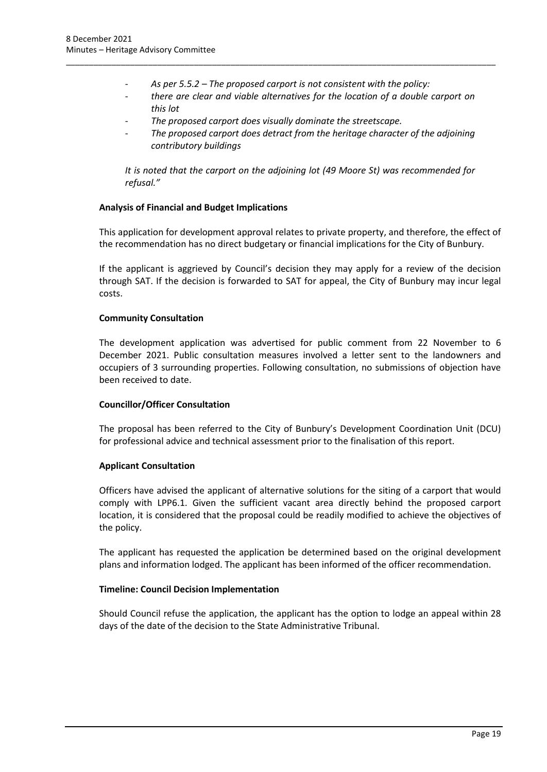- *As per 5.5.2 – The proposed carport is not consistent with the policy:*

\_\_\_\_\_\_\_\_\_\_\_\_\_\_\_\_\_\_\_\_\_\_\_\_\_\_\_\_\_\_\_\_\_\_\_\_\_\_\_\_\_\_\_\_\_\_\_\_\_\_\_\_\_\_\_\_\_\_\_\_\_\_\_\_\_\_\_\_\_\_\_\_\_\_\_\_\_\_\_\_\_\_\_\_\_\_\_\_\_\_\_\_\_\_

- *there are clear and viable alternatives for the location of a double carport on this lot*
- *The proposed carport does visually dominate the streetscape.*
- *The proposed carport does detract from the heritage character of the adjoining contributory buildings*

*It is noted that the carport on the adjoining lot (49 Moore St) was recommended for refusal."*

#### **Analysis of Financial and Budget Implications**

This application for development approval relates to private property, and therefore, the effect of the recommendation has no direct budgetary or financial implications for the City of Bunbury.

If the applicant is aggrieved by Council's decision they may apply for a review of the decision through SAT. If the decision is forwarded to SAT for appeal, the City of Bunbury may incur legal costs.

#### **Community Consultation**

The development application was advertised for public comment from 22 November to 6 December 2021. Public consultation measures involved a letter sent to the landowners and occupiers of 3 surrounding properties. Following consultation, no submissions of objection have been received to date.

#### **Councillor/Officer Consultation**

The proposal has been referred to the City of Bunbury's Development Coordination Unit (DCU) for professional advice and technical assessment prior to the finalisation of this report.

#### **Applicant Consultation**

Officers have advised the applicant of alternative solutions for the siting of a carport that would comply with LPP6.1. Given the sufficient vacant area directly behind the proposed carport location, it is considered that the proposal could be readily modified to achieve the objectives of the policy.

The applicant has requested the application be determined based on the original development plans and information lodged. The applicant has been informed of the officer recommendation.

#### **Timeline: Council Decision Implementation**

Should Council refuse the application, the applicant has the option to lodge an appeal within 28 days of the date of the decision to the State Administrative Tribunal.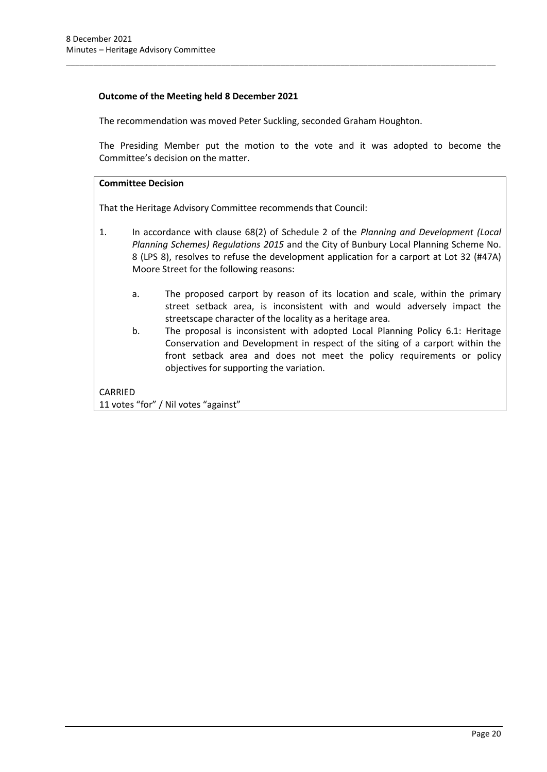#### **Outcome of the Meeting held 8 December 2021**

The recommendation was moved Peter Suckling, seconded Graham Houghton.

\_\_\_\_\_\_\_\_\_\_\_\_\_\_\_\_\_\_\_\_\_\_\_\_\_\_\_\_\_\_\_\_\_\_\_\_\_\_\_\_\_\_\_\_\_\_\_\_\_\_\_\_\_\_\_\_\_\_\_\_\_\_\_\_\_\_\_\_\_\_\_\_\_\_\_\_\_\_\_\_\_\_\_\_\_\_\_\_\_\_\_\_\_\_

The Presiding Member put the motion to the vote and it was adopted to become the Committee's decision on the matter.

#### **Committee Decision**

That the Heritage Advisory Committee recommends that Council:

- 1. In accordance with clause 68(2) of Schedule 2 of the *Planning and Development (Local Planning Schemes) Regulations 2015* and the City of Bunbury Local Planning Scheme No. 8 (LPS 8), resolves to refuse the development application for a carport at Lot 32 (#47A) Moore Street for the following reasons:
	- a. The proposed carport by reason of its location and scale, within the primary street setback area, is inconsistent with and would adversely impact the streetscape character of the locality as a heritage area.
	- b. The proposal is inconsistent with adopted Local Planning Policy 6.1: Heritage Conservation and Development in respect of the siting of a carport within the front setback area and does not meet the policy requirements or policy objectives for supporting the variation.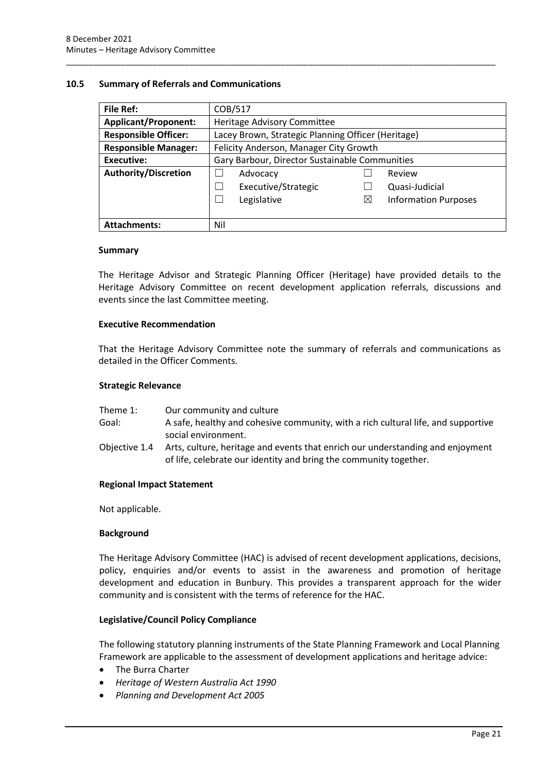#### <span id="page-23-0"></span>**10.5 Summary of Referrals and Communications**

| <b>File Ref:</b>            | COB/517                                            |             |                             |
|-----------------------------|----------------------------------------------------|-------------|-----------------------------|
| <b>Applicant/Proponent:</b> | Heritage Advisory Committee                        |             |                             |
| <b>Responsible Officer:</b> | Lacey Brown, Strategic Planning Officer (Heritage) |             |                             |
| <b>Responsible Manager:</b> | Felicity Anderson, Manager City Growth             |             |                             |
| <b>Executive:</b>           | Gary Barbour, Director Sustainable Communities     |             |                             |
| <b>Authority/Discretion</b> | Advocacy                                           |             | Review                      |
|                             | Executive/Strategic                                |             | Quasi-Judicial              |
|                             | Legislative                                        | $\boxtimes$ | <b>Information Purposes</b> |
|                             |                                                    |             |                             |
| <b>Attachments:</b>         | Nil                                                |             |                             |

\_\_\_\_\_\_\_\_\_\_\_\_\_\_\_\_\_\_\_\_\_\_\_\_\_\_\_\_\_\_\_\_\_\_\_\_\_\_\_\_\_\_\_\_\_\_\_\_\_\_\_\_\_\_\_\_\_\_\_\_\_\_\_\_\_\_\_\_\_\_\_\_\_\_\_\_\_\_\_\_\_\_\_\_\_\_\_\_\_\_\_\_\_\_

#### **Summary**

The Heritage Advisor and Strategic Planning Officer (Heritage) have provided details to the Heritage Advisory Committee on recent development application referrals, discussions and events since the last Committee meeting.

#### **Executive Recommendation**

That the Heritage Advisory Committee note the summary of referrals and communications as detailed in the Officer Comments.

#### **Strategic Relevance**

| Theme 1:      | Our community and culture                                                                                                                           |
|---------------|-----------------------------------------------------------------------------------------------------------------------------------------------------|
| Goal:         | A safe, healthy and cohesive community, with a rich cultural life, and supportive                                                                   |
|               | social environment.                                                                                                                                 |
| Objective 1.4 | Arts, culture, heritage and events that enrich our understanding and enjoyment<br>of life, celebrate our identity and bring the community together. |

#### **Regional Impact Statement**

Not applicable.

#### **Background**

The Heritage Advisory Committee (HAC) is advised of recent development applications, decisions, policy, enquiries and/or events to assist in the awareness and promotion of heritage development and education in Bunbury. This provides a transparent approach for the wider community and is consistent with the terms of reference for the HAC.

#### **Legislative/Council Policy Compliance**

The following statutory planning instruments of the State Planning Framework and Local Planning Framework are applicable to the assessment of development applications and heritage advice:

- The Burra Charter
- *Heritage of Western Australia Act 1990*
- *Planning and Development Act 2005*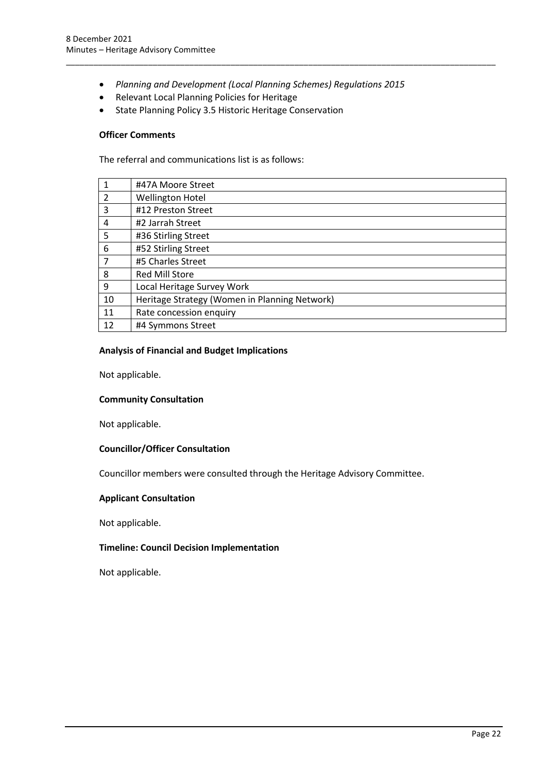• *Planning and Development (Local Planning Schemes) Regulations 2015*

\_\_\_\_\_\_\_\_\_\_\_\_\_\_\_\_\_\_\_\_\_\_\_\_\_\_\_\_\_\_\_\_\_\_\_\_\_\_\_\_\_\_\_\_\_\_\_\_\_\_\_\_\_\_\_\_\_\_\_\_\_\_\_\_\_\_\_\_\_\_\_\_\_\_\_\_\_\_\_\_\_\_\_\_\_\_\_\_\_\_\_\_\_\_

- Relevant Local Planning Policies for Heritage
- State Planning Policy 3.5 Historic Heritage Conservation

#### **Officer Comments**

The referral and communications list is as follows:

|                | #47A Moore Street                             |
|----------------|-----------------------------------------------|
| $\mathcal{L}$  | <b>Wellington Hotel</b>                       |
| 3              | #12 Preston Street                            |
| 4              | #2 Jarrah Street                              |
| 5              | #36 Stirling Street                           |
| 6              | #52 Stirling Street                           |
| $\overline{7}$ | #5 Charles Street                             |
| 8              | <b>Red Mill Store</b>                         |
| 9              | Local Heritage Survey Work                    |
| 10             | Heritage Strategy (Women in Planning Network) |
| 11             | Rate concession enquiry                       |
| 12             | #4 Symmons Street                             |
|                |                                               |

#### **Analysis of Financial and Budget Implications**

Not applicable.

#### **Community Consultation**

Not applicable.

#### **Councillor/Officer Consultation**

Councillor members were consulted through the Heritage Advisory Committee.

#### **Applicant Consultation**

Not applicable.

#### **Timeline: Council Decision Implementation**

Not applicable.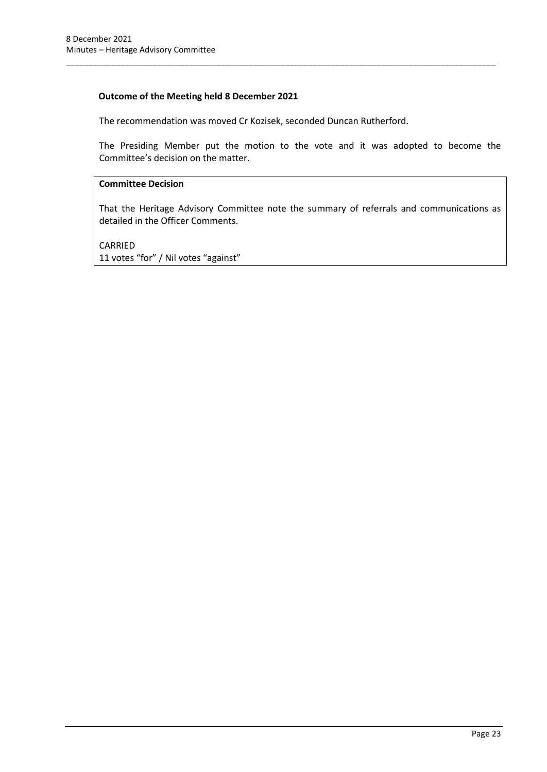### **Outcome of the Meeting held 8 December 2021**

The recommendation was moved Cr Kozisek, seconded Duncan Rutherford.

The Presiding Member put the motion to the vote and it was adopted to become the Committee's decision on the matter.

\_\_\_\_\_\_\_\_\_\_\_\_\_\_\_\_\_\_\_\_\_\_\_\_\_\_\_\_\_\_\_\_\_\_\_\_\_\_\_\_\_\_\_\_\_\_\_\_\_\_\_\_\_\_\_\_\_\_\_\_\_\_\_\_\_\_\_\_\_\_\_\_\_\_\_\_\_\_\_\_\_\_\_\_\_\_\_\_\_\_\_\_\_\_

#### **Committee Decision**

That the Heritage Advisory Committee note the summary of referrals and communications as detailed in the Officer Comments.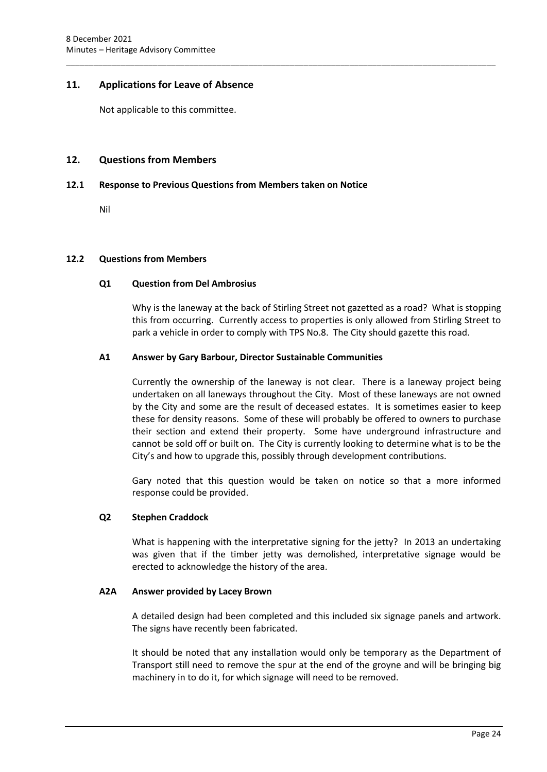#### <span id="page-26-0"></span>**11. Applications for Leave of Absence**

Not applicable to this committee.

#### <span id="page-26-1"></span>**12. Questions from Members**

#### <span id="page-26-2"></span>**12.1 Response to Previous Questions from Members taken on Notice**

\_\_\_\_\_\_\_\_\_\_\_\_\_\_\_\_\_\_\_\_\_\_\_\_\_\_\_\_\_\_\_\_\_\_\_\_\_\_\_\_\_\_\_\_\_\_\_\_\_\_\_\_\_\_\_\_\_\_\_\_\_\_\_\_\_\_\_\_\_\_\_\_\_\_\_\_\_\_\_\_\_\_\_\_\_\_\_\_\_\_\_\_\_\_

Nil

#### <span id="page-26-3"></span>**12.2 Questions from Members**

#### **Q1 Question from Del Ambrosius**

Why is the laneway at the back of Stirling Street not gazetted as a road? What is stopping this from occurring. Currently access to properties is only allowed from Stirling Street to park a vehicle in order to comply with TPS No.8. The City should gazette this road.

#### **A1 Answer by Gary Barbour, Director Sustainable Communities**

Currently the ownership of the laneway is not clear. There is a laneway project being undertaken on all laneways throughout the City. Most of these laneways are not owned by the City and some are the result of deceased estates. It is sometimes easier to keep these for density reasons. Some of these will probably be offered to owners to purchase their section and extend their property. Some have underground infrastructure and cannot be sold off or built on. The City is currently looking to determine what is to be the City's and how to upgrade this, possibly through development contributions.

Gary noted that this question would be taken on notice so that a more informed response could be provided.

#### **Q2 Stephen Craddock**

What is happening with the interpretative signing for the jetty? In 2013 an undertaking was given that if the timber jetty was demolished, interpretative signage would be erected to acknowledge the history of the area.

#### **A2A Answer provided by Lacey Brown**

A detailed design had been completed and this included six signage panels and artwork. The signs have recently been fabricated.

It should be noted that any installation would only be temporary as the Department of Transport still need to remove the spur at the end of the groyne and will be bringing big machinery in to do it, for which signage will need to be removed.